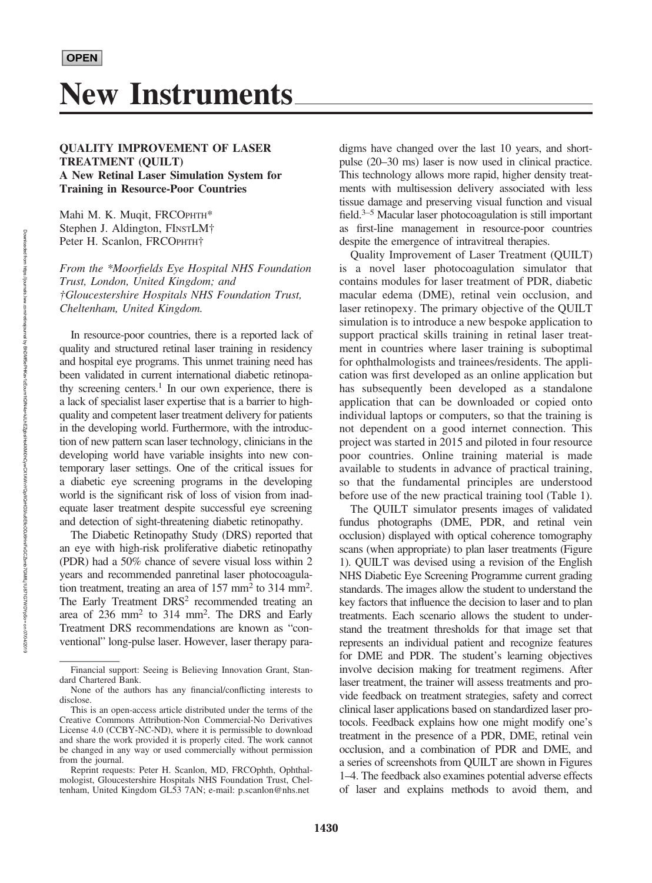## QUALITY IMPROVEMENT OF LASER TREATMENT (QUILT) A New Retinal Laser Simulation System for Training in Resource-Poor Countries

Mahi M. K. Muqit, FRCOPHTH\* Stephen J. Aldington, FINSTLM† Peter H. Scanlon, FRCOPHTH†

From the \*Moorfields Eye Hospital NHS Foundation Trust, London, United Kingdom; and †Gloucestershire Hospitals NHS Foundation Trust, Cheltenham, United Kingdom.

In resource-poor countries, there is a reported lack of quality and structured retinal laser training in residency and hospital eye programs. This unmet training need has been validated in current international diabetic retinopathy screening centers.<sup>1</sup> In our own experience, there is a lack of specialist laser expertise that is a barrier to highquality and competent laser treatment delivery for patients in the developing world. Furthermore, with the introduction of new pattern scan laser technology, clinicians in the developing world have variable insights into new contemporary laser settings. One of the critical issues for a diabetic eye screening programs in the developing world is the significant risk of loss of vision from inadequate laser treatment despite successful eye screening and detection of sight-threatening diabetic retinopathy.

The Diabetic Retinopathy Study (DRS) reported that an eye with high-risk proliferative diabetic retinopathy (PDR) had a 50% chance of severe visual loss within 2 years and recommended panretinal laser photocoagulation treatment, treating an area of  $157 \text{ mm}^2$  to  $314 \text{ mm}^2$ . The Early Treatment DRS<sup>2</sup> recommended treating an area of 236 mm<sup>2</sup> to 314 mm<sup>2</sup>. The DRS and Early Treatment DRS recommendations are known as "conventional" long-pulse laser. However, laser therapy paradigms have changed over the last 10 years, and shortpulse (20–30 ms) laser is now used in clinical practice. This technology allows more rapid, higher density treatments with multisession delivery associated with less tissue damage and preserving visual function and visual field.3–<sup>5</sup> Macular laser photocoagulation is still important as first-line management in resource-poor countries despite the emergence of intravitreal therapies.

Quality Improvement of Laser Treatment (QUILT) is a novel laser photocoagulation simulator that contains modules for laser treatment of PDR, diabetic macular edema (DME), retinal vein occlusion, and laser retinopexy. The primary objective of the QUILT simulation is to introduce a new bespoke application to support practical skills training in retinal laser treatment in countries where laser training is suboptimal for ophthalmologists and trainees/residents. The application was first developed as an online application but has subsequently been developed as a standalone application that can be downloaded or copied onto individual laptops or computers, so that the training is not dependent on a good internet connection. This project was started in 2015 and piloted in four resource poor countries. Online training material is made available to students in advance of practical training, so that the fundamental principles are understood before use of the new practical training tool (Table 1).

The QUILT simulator presents images of validated fundus photographs (DME, PDR, and retinal vein occlusion) displayed with optical coherence tomography scans (when appropriate) to plan laser treatments (Figure 1). QUILT was devised using a revision of the English NHS Diabetic Eye Screening Programme current grading standards. The images allow the student to understand the key factors that influence the decision to laser and to plan treatments. Each scenario allows the student to understand the treatment thresholds for that image set that represents an individual patient and recognize features for DME and PDR. The student's learning objectives involve decision making for treatment regimens. After laser treatment, the trainer will assess treatments and provide feedback on treatment strategies, safety and correct clinical laser applications based on standardized laser protocols. Feedback explains how one might modify one's treatment in the presence of a PDR, DME, retinal vein occlusion, and a combination of PDR and DME, and a series of screenshots from QUILT are shown in Figures 1–4. The feedback also examines potential adverse effects of laser and explains methods to avoid them, and

Financial support: Seeing is Believing Innovation Grant, Standard Chartered Bank.

None of the authors has any financial/conflicting interests to disclose.

This is an open-access article distributed under the terms of the Creative Commons Attribution-Non Commercial-No Derivatives License 4.0 (CCBY-NC-ND), where it is permissible to download and share the work provided it is properly cited. The work cannot be changed in any way or used commercially without permission from the journal.

Reprint requests: Peter H. Scanlon, MD, FRCOphth, Ophthalmologist, Gloucestershire Hospitals NHS Foundation Trust, Cheltenham, United Kingdom GL53 7AN; e-mail: p.scanlon@nhs.net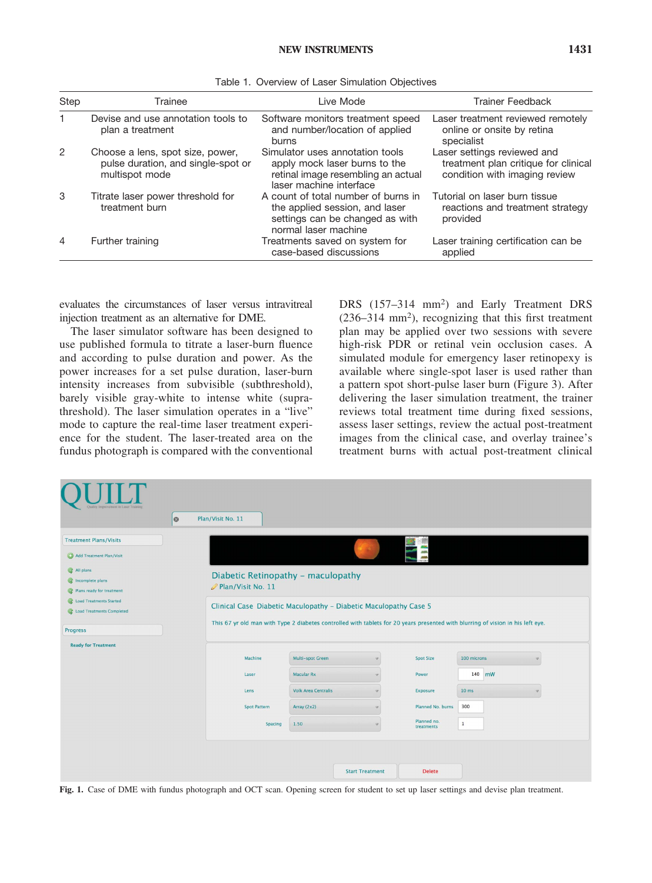| Step | Trainee                                                                                  | Live Mode                                                                                                                         | <b>Trainer Feedback</b>                                                                              |  |  |
|------|------------------------------------------------------------------------------------------|-----------------------------------------------------------------------------------------------------------------------------------|------------------------------------------------------------------------------------------------------|--|--|
|      | Devise and use annotation tools to<br>plan a treatment                                   | Software monitors treatment speed<br>and number/location of applied<br>burns                                                      | Laser treatment reviewed remotely<br>online or onsite by retina<br>specialist                        |  |  |
| 2    | Choose a lens, spot size, power,<br>pulse duration, and single-spot or<br>multispot mode | Simulator uses annotation tools<br>apply mock laser burns to the<br>retinal image resembling an actual<br>laser machine interface | Laser settings reviewed and<br>treatment plan critique for clinical<br>condition with imaging review |  |  |
| 3    | Titrate laser power threshold for<br>treatment burn                                      | A count of total number of burns in<br>the applied session, and laser<br>settings can be changed as with<br>normal laser machine  | Tutorial on laser burn tissue<br>reactions and treatment strategy<br>provided                        |  |  |
| 4    | Further training                                                                         | Treatments saved on system for<br>case-based discussions                                                                          | Laser training certification can be<br>applied                                                       |  |  |

Table 1. Overview of Laser Simulation Objectives

evaluates the circumstances of laser versus intravitreal injection treatment as an alternative for DME.

The laser simulator software has been designed to use published formula to titrate a laser-burn fluence and according to pulse duration and power. As the power increases for a set pulse duration, laser-burn intensity increases from subvisible (subthreshold), barely visible gray-white to intense white (suprathreshold). The laser simulation operates in a "live" mode to capture the real-time laser treatment experience for the student. The laser-treated area on the fundus photograph is compared with the conventional DRS (157-314 mm<sup>2</sup>) and Early Treatment DRS  $(236-314 \text{ mm}^2)$ , recognizing that this first treatment plan may be applied over two sessions with severe high-risk PDR or retinal vein occlusion cases. A simulated module for emergency laser retinopexy is available where single-spot laser is used rather than a pattern spot short-pulse laser burn (Figure 3). After delivering the laser simulation treatment, the trainer reviews total treatment time during fixed sessions, assess laser settings, review the actual post-treatment images from the clinical case, and overlay trainee's treatment burns with actual post-treatment clinical

| Quality Improvement in Laser Training                                                                                                                                         | $\circ$ | Plan/Visit No. 11                                                                                                                                                                                   |                            |                        |                           |                 |    |  |  |
|-------------------------------------------------------------------------------------------------------------------------------------------------------------------------------|---------|-----------------------------------------------------------------------------------------------------------------------------------------------------------------------------------------------------|----------------------------|------------------------|---------------------------|-----------------|----|--|--|
| <b>Treatment Plans/Visits</b><br>Add Treatment Plan/Visit<br>All plans<br>Incomplete plans<br>$^{\circ}$<br>Plans ready for treatment<br>$\circ$<br>C Load Treatments Started |         | Diabetic Retinopathy - maculopathy<br>Plan/Visit No. 11                                                                                                                                             |                            |                        |                           |                 |    |  |  |
| C Load Treatments Completed<br>Progress                                                                                                                                       |         | Clinical Case Diabetic Maculopathy - Diabetic Maculopathy Case 5<br>This 67 yr old man with Type 2 diabetes controlled with tablets for 20 years presented with blurring of vision in his left eye. |                            |                        |                           |                 |    |  |  |
| <b>Ready for Treatment</b>                                                                                                                                                    |         | Machine                                                                                                                                                                                             | Multi-spot Green           |                        | <b>Spot Size</b>          | 100 microns     |    |  |  |
|                                                                                                                                                                               |         | Laser                                                                                                                                                                                               | <b>Macular Rx</b>          |                        | Power                     | 140             | mW |  |  |
|                                                                                                                                                                               |         | Lens                                                                                                                                                                                                | <b>Volk Area Centralis</b> |                        | Exposure                  | $10 \text{ ms}$ |    |  |  |
|                                                                                                                                                                               |         | <b>Spot Pattern</b>                                                                                                                                                                                 | Array (2x2)                |                        | Planned No. burns         | 300             |    |  |  |
|                                                                                                                                                                               |         | <b>Spacing</b>                                                                                                                                                                                      | 1.50                       |                        | Planned no.<br>treatments | $\mathbf{1}$    |    |  |  |
|                                                                                                                                                                               |         |                                                                                                                                                                                                     |                            |                        |                           |                 |    |  |  |
|                                                                                                                                                                               |         |                                                                                                                                                                                                     |                            | <b>Start Treatment</b> | <b>Delete</b>             |                 |    |  |  |

Fig. 1. Case of DME with fundus photograph and OCT scan. Opening screen for student to set up laser settings and devise plan treatment.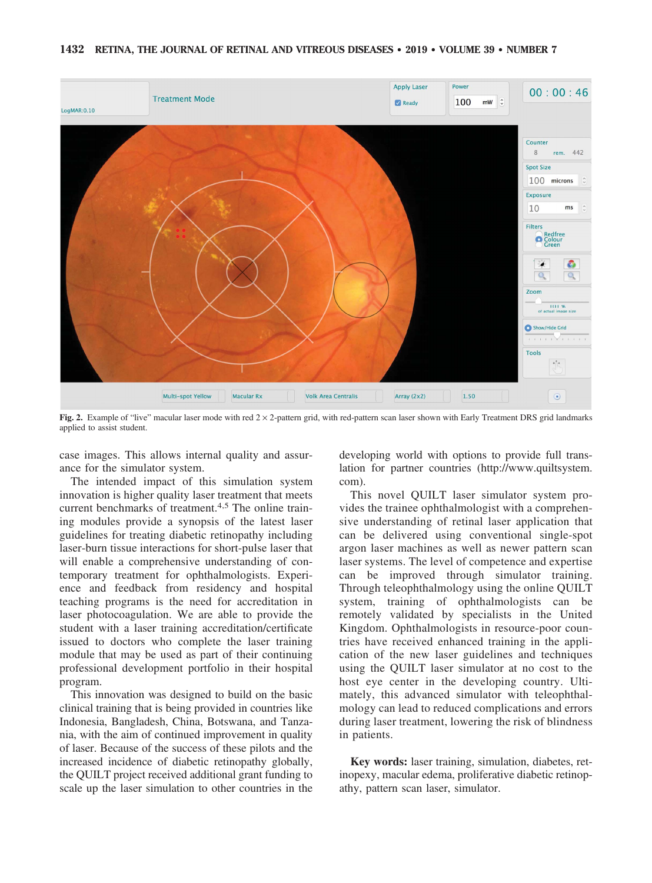

Fig. 2. Example of "live" macular laser mode with red  $2 \times 2$ -pattern grid, with red-pattern scan laser shown with Early Treatment DRS grid landmarks applied to assist student.

case images. This allows internal quality and assurance for the simulator system.

The intended impact of this simulation system innovation is higher quality laser treatment that meets current benchmarks of treatment.4,5 The online training modules provide a synopsis of the latest laser guidelines for treating diabetic retinopathy including laser-burn tissue interactions for short-pulse laser that will enable a comprehensive understanding of contemporary treatment for ophthalmologists. Experience and feedback from residency and hospital teaching programs is the need for accreditation in laser photocoagulation. We are able to provide the student with a laser training accreditation/certificate issued to doctors who complete the laser training module that may be used as part of their continuing professional development portfolio in their hospital program.

This innovation was designed to build on the basic clinical training that is being provided in countries like Indonesia, Bangladesh, China, Botswana, and Tanzania, with the aim of continued improvement in quality of laser. Because of the success of these pilots and the increased incidence of diabetic retinopathy globally, the QUILT project received additional grant funding to scale up the laser simulation to other countries in the developing world with options to provide full translation for partner countries (http://www.quiltsystem. com).

This novel QUILT laser simulator system provides the trainee ophthalmologist with a comprehensive understanding of retinal laser application that can be delivered using conventional single-spot argon laser machines as well as newer pattern scan laser systems. The level of competence and expertise can be improved through simulator training. Through teleophthalmology using the online QUILT system, training of ophthalmologists can be remotely validated by specialists in the United Kingdom. Ophthalmologists in resource-poor countries have received enhanced training in the application of the new laser guidelines and techniques using the QUILT laser simulator at no cost to the host eye center in the developing country. Ultimately, this advanced simulator with teleophthalmology can lead to reduced complications and errors during laser treatment, lowering the risk of blindness in patients.

Key words: laser training, simulation, diabetes, retinopexy, macular edema, proliferative diabetic retinopathy, pattern scan laser, simulator.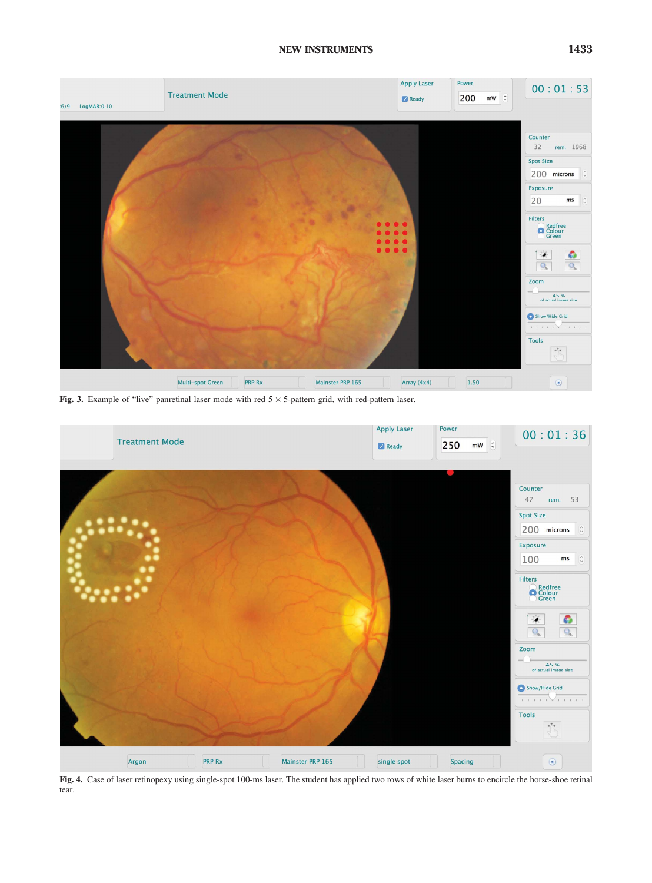## NEW INSTRUMENTS 1433



Fig. 3. Example of "live" panretinal laser mode with red  $5 \times 5$ -pattern grid, with red-pattern laser.



Fig. 4. Case of laser retinopexy using single-spot 100-ms laser. The student has applied two rows of white laser burns to encircle the horse-shoe retinal tear.